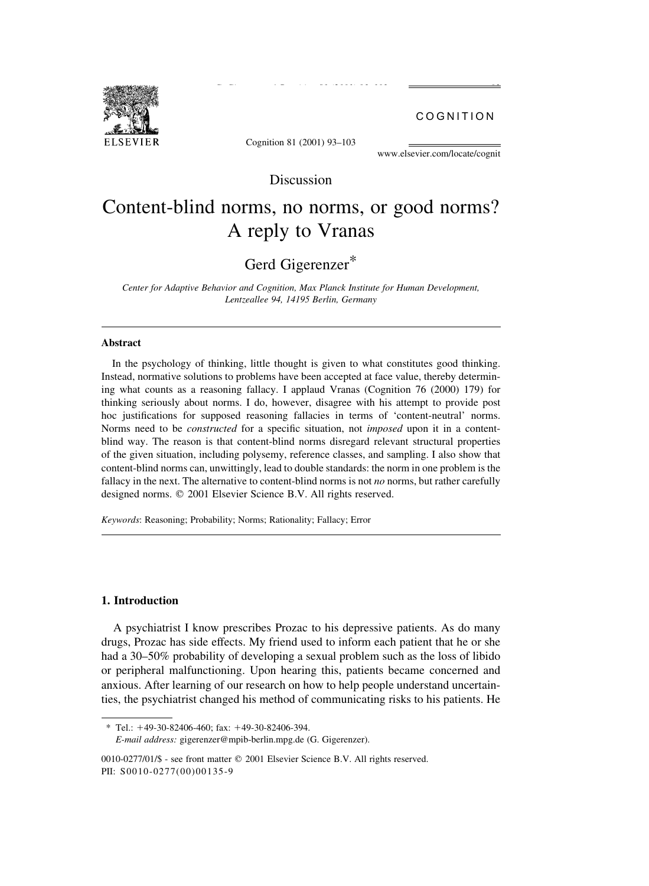

COGNITION

Cognition 81 (2001) 93-103

G. Gigerenzer / Cognition 81 (2001) 93±103 93

www.elsevier.com/locate/cognit

Discussion

# Content-blind norms, no norms, or good norms? A reply to Vranas

## Gerd Gigerenzer\*

Center for Adaptive Behavior and Cognition, Max Planck Institute for Human Development, Lentzeallee 94, 14195 Berlin, Germany

## Abstract

In the psychology of thinking, little thought is given to what constitutes good thinking. Instead, normative solutions to problems have been accepted at face value, thereby determining what counts as a reasoning fallacy. I applaud Vranas (Cognition 76 (2000) 179) for thinking seriously about norms. I do, however, disagree with his attempt to provide post hoc justifications for supposed reasoning fallacies in terms of 'content-neutral' norms. Norms need to be *constructed* for a specific situation, not *imposed* upon it in a contentblind way. The reason is that content-blind norms disregard relevant structural properties of the given situation, including polysemy, reference classes, and sampling. I also show that content-blind norms can, unwittingly, lead to double standards: the norm in one problem is the fallacy in the next. The alternative to content-blind norms is not *no* norms, but rather carefully designed norms.  $© 2001$  Elsevier Science B.V. All rights reserved.

Keywords: Reasoning; Probability; Norms; Rationality; Fallacy; Error

## 1. Introduction

A psychiatrist I know prescribes Prozac to his depressive patients. As do many drugs, Prozac has side effects. My friend used to inform each patient that he or she had a  $30-50\%$  probability of developing a sexual problem such as the loss of libido or peripheral malfunctioning. Upon hearing this, patients became concerned and anxious. After learning of our research on how to help people understand uncertainties, the psychiatrist changed his method of communicating risks to his patients. He

<sup>\*</sup> Tel.:  $+49-30-82406-460$ ; fax:  $+49-30-82406-394$ .

E-mail address: gigerenzer@mpib-berlin.mpg.de (G. Gigerenzer).

<sup>0010-0277/01/\$ -</sup> see front matter © 2001 Elsevier Science B.V. All rights reserved. PII: S0010-0277(00)00135-9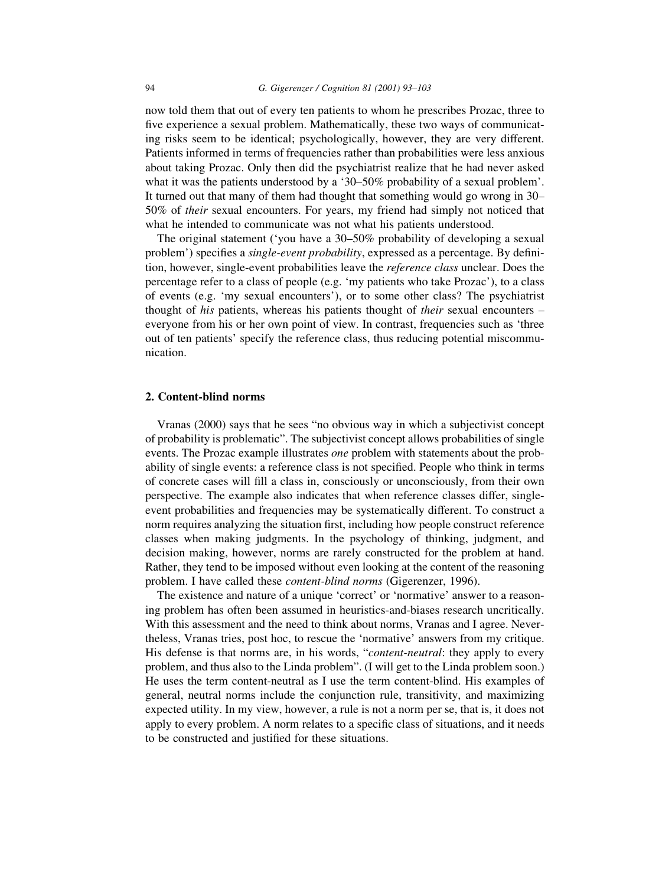now told them that out of every ten patients to whom he prescribes Prozac, three to five experience a sexual problem. Mathematically, these two ways of communicating risks seem to be identical; psychologically, however, they are very different. Patients informed in terms of frequencies rather than probabilities were less anxious about taking Prozac. Only then did the psychiatrist realize that he had never asked what it was the patients understood by a '30-50% probability of a sexual problem'. It turned out that many of them had thought that something would go wrong in 30– 50% of their sexual encounters. For years, my friend had simply not noticed that what he intended to communicate was not what his patients understood.

The original statement ('you have a 30–50% probability of developing a sexual problem') specifies a *single-event probability*, expressed as a percentage. By definition, however, single-event probabilities leave the reference class unclear. Does the percentage refer to a class of people (e.g. `my patients who take Prozac'), to a class of events (e.g. `my sexual encounters'), or to some other class? The psychiatrist thought of his patients, whereas his patients thought of their sexual encounters  $-\frac{1}{2}$ everyone from his or her own point of view. In contrast, frequencies such as 'three out of ten patients' specify the reference class, thus reducing potential miscommunication.

#### 2. Content-blind norms

Vranas (2000) says that he sees ªno obvious way in which a subjectivist concept of probability is problematicº. The subjectivist concept allows probabilities of single events. The Prozac example illustrates one problem with statements about the probability of single events: a reference class is not specified. People who think in terms of concrete cases will fill a class in, consciously or unconsciously, from their own perspective. The example also indicates that when reference classes differ, singleevent probabilities and frequencies may be systematically different. To construct a norm requires analyzing the situation first, including how people construct reference classes when making judgments. In the psychology of thinking, judgment, and decision making, however, norms are rarely constructed for the problem at hand. Rather, they tend to be imposed without even looking at the content of the reasoning problem. I have called these content-blind norms (Gigerenzer, 1996).

The existence and nature of a unique 'correct' or 'normative' answer to a reasoning problem has often been assumed in heuristics-and-biases research uncritically. With this assessment and the need to think about norms, Vranas and I agree. Nevertheless, Vranas tries, post hoc, to rescue the `normative' answers from my critique. His defense is that norms are, in his words, "*content-neutral*: they apply to every problem, and thus also to the Linda problemº. (I will get to the Linda problem soon.) He uses the term content-neutral as I use the term content-blind. His examples of general, neutral norms include the conjunction rule, transitivity, and maximizing expected utility. In my view, however, a rule is not a norm per se, that is, it does not apply to every problem. A norm relates to a specific class of situations, and it needs to be constructed and justified for these situations.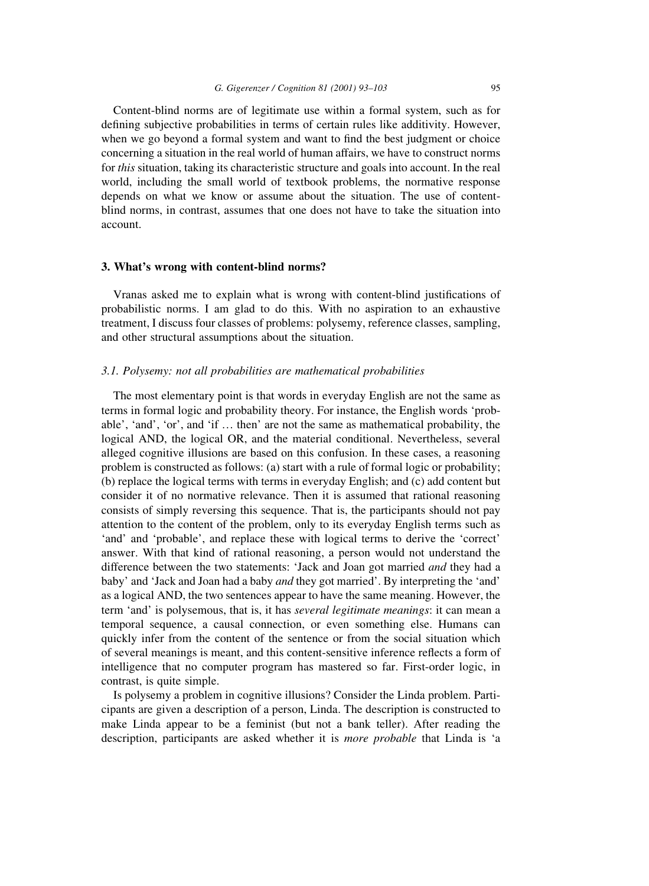Content-blind norms are of legitimate use within a formal system, such as for defining subjective probabilities in terms of certain rules like additivity. However, when we go beyond a formal system and want to find the best judgment or choice concerning a situation in the real world of human affairs, we have to construct norms for this situation, taking its characteristic structure and goals into account. In the real world, including the small world of textbook problems, the normative response depends on what we know or assume about the situation. The use of contentblind norms, in contrast, assumes that one does not have to take the situation into account.

## 3. What's wrong with content-blind norms?

Vranas asked me to explain what is wrong with content-blind justifications of probabilistic norms. I am glad to do this. With no aspiration to an exhaustive treatment, I discuss four classes of problems: polysemy, reference classes, sampling, and other structural assumptions about the situation.

## 3.1. Polysemy: not all probabilities are mathematical probabilities

The most elementary point is that words in everyday English are not the same as terms in formal logic and probability theory. For instance, the English words `probable', 'and', 'or', and 'if  $\ldots$  then' are not the same as mathematical probability, the logical AND, the logical OR, and the material conditional. Nevertheless, several alleged cognitive illusions are based on this confusion. In these cases, a reasoning problem is constructed as follows: (a) start with a rule of formal logic or probability; (b) replace the logical terms with terms in everyday English; and (c) add content but consider it of no normative relevance. Then it is assumed that rational reasoning consists of simply reversing this sequence. That is, the participants should not pay attention to the content of the problem, only to its everyday English terms such as `and' and `probable', and replace these with logical terms to derive the `correct' answer. With that kind of rational reasoning, a person would not understand the difference between the two statements: 'Jack and Joan got married *and* they had a baby' and 'Jack and Joan had a baby *and* they got married'. By interpreting the 'and' as a logical AND, the two sentences appear to have the same meaning. However, the term 'and' is polysemous, that is, it has *several legitimate meanings*: it can mean a temporal sequence, a causal connection, or even something else. Humans can quickly infer from the content of the sentence or from the social situation which of several meanings is meant, and this content-sensitive inference reflects a form of intelligence that no computer program has mastered so far. First-order logic, in contrast, is quite simple.

Is polysemy a problem in cognitive illusions? Consider the Linda problem. Participants are given a description of a person, Linda. The description is constructed to make Linda appear to be a feminist (but not a bank teller). After reading the description, participants are asked whether it is *more probable* that Linda is 'a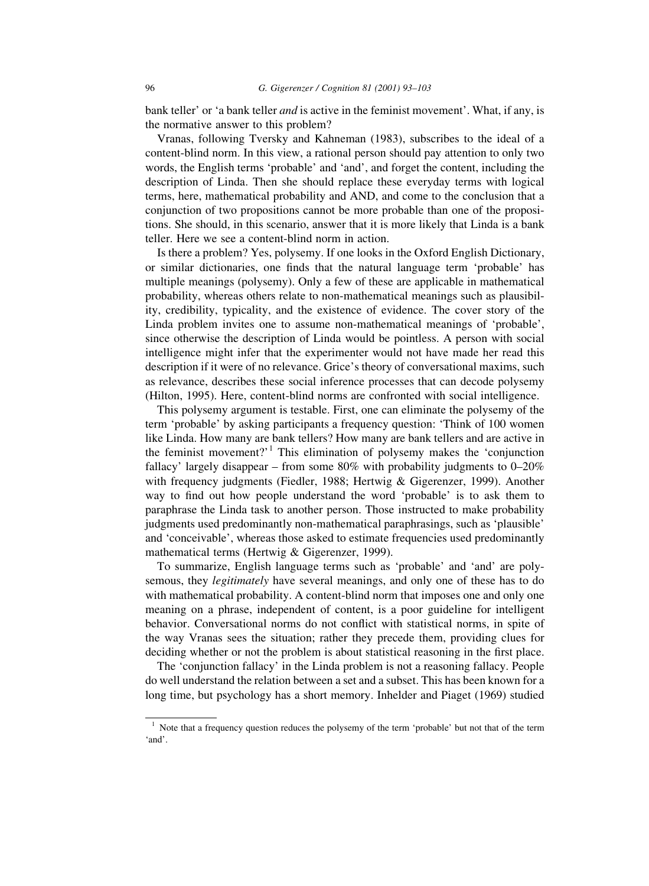bank teller' or 'a bank teller *and* is active in the feminist movement'. What, if any, is the normative answer to this problem?

Vranas, following Tversky and Kahneman (1983), subscribes to the ideal of a content-blind norm. In this view, a rational person should pay attention to only two words, the English terms 'probable' and 'and', and forget the content, including the description of Linda. Then she should replace these everyday terms with logical terms, here, mathematical probability and AND, and come to the conclusion that a conjunction of two propositions cannot be more probable than one of the propositions. She should, in this scenario, answer that it is more likely that Linda is a bank teller. Here we see a content-blind norm in action.

Is there a problem? Yes, polysemy. If one looks in the Oxford English Dictionary, or similar dictionaries, one finds that the natural language term 'probable' has multiple meanings (polysemy). Only a few of these are applicable in mathematical probability, whereas others relate to non-mathematical meanings such as plausibility, credibility, typicality, and the existence of evidence. The cover story of the Linda problem invites one to assume non-mathematical meanings of `probable', since otherwise the description of Linda would be pointless. A person with social intelligence might infer that the experimenter would not have made her read this description if it were of no relevance. Grice's theory of conversational maxims, such as relevance, describes these social inference processes that can decode polysemy (Hilton, 1995). Here, content-blind norms are confronted with social intelligence.

This polysemy argument is testable. First, one can eliminate the polysemy of the term `probable' by asking participants a frequency question: `Think of 100 women like Linda. How many are bank tellers? How many are bank tellers and are active in the feminist movement?<sup>1</sup> This elimination of polysemy makes the 'conjunction fallacy' largely disappear  $-$  from some 80% with probability judgments to 0-20% with frequency judgments (Fiedler, 1988; Hertwig & Gigerenzer, 1999). Another way to find out how people understand the word 'probable' is to ask them to paraphrase the Linda task to another person. Those instructed to make probability judgments used predominantly non-mathematical paraphrasings, such as `plausible' and 'conceivable', whereas those asked to estimate frequencies used predominantly mathematical terms (Hertwig & Gigerenzer, 1999).

To summarize, English language terms such as `probable' and `and' are polysemous, they legitimately have several meanings, and only one of these has to do with mathematical probability. A content-blind norm that imposes one and only one meaning on a phrase, independent of content, is a poor guideline for intelligent behavior. Conversational norms do not conflict with statistical norms, in spite of the way Vranas sees the situation; rather they precede them, providing clues for deciding whether or not the problem is about statistical reasoning in the first place.

The `conjunction fallacy' in the Linda problem is not a reasoning fallacy. People do well understand the relation between a set and a subset. This has been known for a long time, but psychology has a short memory. Inhelder and Piaget (1969) studied

<sup>&</sup>lt;sup>1</sup> Note that a frequency question reduces the polysemy of the term 'probable' but not that of the term `and'.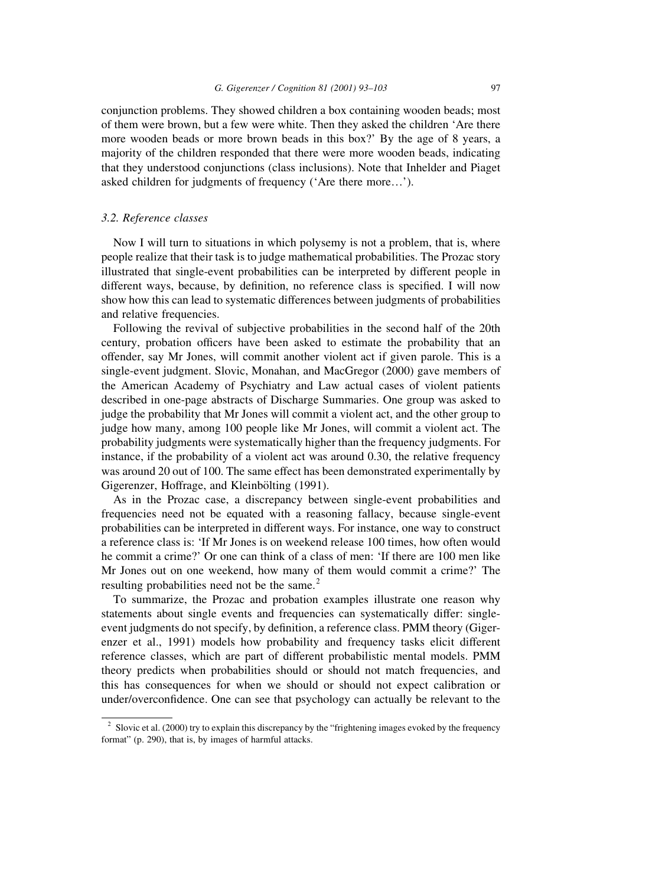conjunction problems. They showed children a box containing wooden beads; most of them were brown, but a few were white. Then they asked the children `Are there more wooden beads or more brown beads in this box?' By the age of 8 years, a majority of the children responded that there were more wooden beads, indicating that they understood conjunctions (class inclusions). Note that Inhelder and Piaget asked children for judgments of frequency ('Are there more...').

#### 3.2. Reference classes

Now I will turn to situations in which polysemy is not a problem, that is, where people realize that their task is to judge mathematical probabilities. The Prozac story illustrated that single-event probabilities can be interpreted by different people in different ways, because, by definition, no reference class is specified. I will now show how this can lead to systematic differences between judgments of probabilities and relative frequencies.

Following the revival of subjective probabilities in the second half of the 20th century, probation officers have been asked to estimate the probability that an offender, say Mr Jones, will commit another violent act if given parole. This is a single-event judgment. Slovic, Monahan, and MacGregor (2000) gave members of the American Academy of Psychiatry and Law actual cases of violent patients described in one-page abstracts of Discharge Summaries. One group was asked to judge the probability that Mr Jones will commit a violent act, and the other group to judge how many, among 100 people like Mr Jones, will commit a violent act. The probability judgments were systematically higher than the frequency judgments. For instance, if the probability of a violent act was around 0.30, the relative frequency was around 20 out of 100. The same effect has been demonstrated experimentally by Gigerenzer, Hoffrage, and Kleinbölting (1991).

As in the Prozac case, a discrepancy between single-event probabilities and frequencies need not be equated with a reasoning fallacy, because single-event probabilities can be interpreted in different ways. For instance, one way to construct a reference class is: `If Mr Jones is on weekend release 100 times, how often would he commit a crime?' Or one can think of a class of men: `If there are 100 men like Mr Jones out on one weekend, how many of them would commit a crime?' The resulting probabilities need not be the same.<sup>2</sup>

To summarize, the Prozac and probation examples illustrate one reason why statements about single events and frequencies can systematically differ: singleevent judgments do not specify, by definition, a reference class. PMM theory (Gigerenzer et al., 1991) models how probability and frequency tasks elicit different reference classes, which are part of different probabilistic mental models. PMM theory predicts when probabilities should or should not match frequencies, and this has consequences for when we should or should not expect calibration or under/overconfidence. One can see that psychology can actually be relevant to the

<sup>&</sup>lt;sup>2</sup> Slovic et al. (2000) try to explain this discrepancy by the "frightening images evoked by the frequency format" (p. 290), that is, by images of harmful attacks.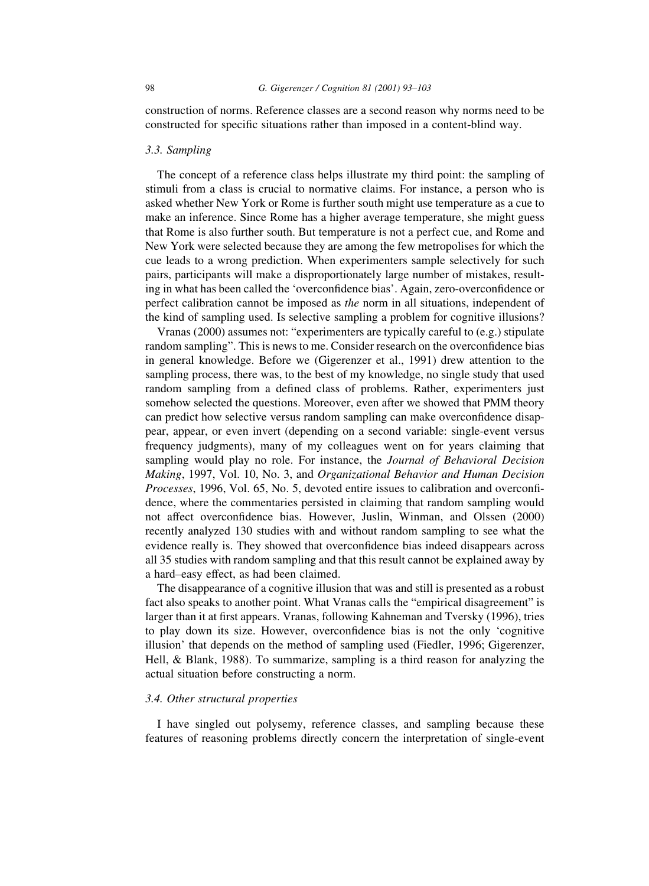construction of norms. Reference classes are a second reason why norms need to be constructed for specific situations rather than imposed in a content-blind way.

## 3.3. Sampling

The concept of a reference class helps illustrate my third point: the sampling of stimuli from a class is crucial to normative claims. For instance, a person who is asked whether New York or Rome is further south might use temperature as a cue to make an inference. Since Rome has a higher average temperature, she might guess that Rome is also further south. But temperature is not a perfect cue, and Rome and New York were selected because they are among the few metropolises for which the cue leads to a wrong prediction. When experimenters sample selectively for such pairs, participants will make a disproportionately large number of mistakes, resulting in what has been called the 'overconfidence bias'. Again, zero-overconfidence or perfect calibration cannot be imposed as the norm in all situations, independent of the kind of sampling used. Is selective sampling a problem for cognitive illusions?

Vranas (2000) assumes not: "experimenters are typically careful to (e.g.) stipulate random sampling". This is news to me. Consider research on the overconfidence bias in general knowledge. Before we (Gigerenzer et al., 1991) drew attention to the sampling process, there was, to the best of my knowledge, no single study that used random sampling from a defined class of problems. Rather, experimenters just somehow selected the questions. Moreover, even after we showed that PMM theory can predict how selective versus random sampling can make overconfidence disappear, appear, or even invert (depending on a second variable: single-event versus frequency judgments), many of my colleagues went on for years claiming that sampling would play no role. For instance, the *Journal of Behavioral Decision* Making, 1997, Vol. 10, No. 3, and Organizational Behavior and Human Decision Processes, 1996, Vol. 65, No. 5, devoted entire issues to calibration and overconfidence, where the commentaries persisted in claiming that random sampling would not affect overconfidence bias. However, Juslin, Winman, and Olssen (2000) recently analyzed 130 studies with and without random sampling to see what the evidence really is. They showed that overconfidence bias indeed disappears across all 35 studies with random sampling and that this result cannot be explained away by a hard-easy effect, as had been claimed.

The disappearance of a cognitive illusion that was and still is presented as a robust fact also speaks to another point. What Vranas calls the "empirical disagreement" is larger than it at first appears. Vranas, following Kahneman and Tversky (1996), tries to play down its size. However, overconfidence bias is not the only 'cognitive illusion' that depends on the method of sampling used (Fiedler, 1996; Gigerenzer, Hell, & Blank, 1988). To summarize, sampling is a third reason for analyzing the actual situation before constructing a norm.

#### 3.4. Other structural properties

I have singled out polysemy, reference classes, and sampling because these features of reasoning problems directly concern the interpretation of single-event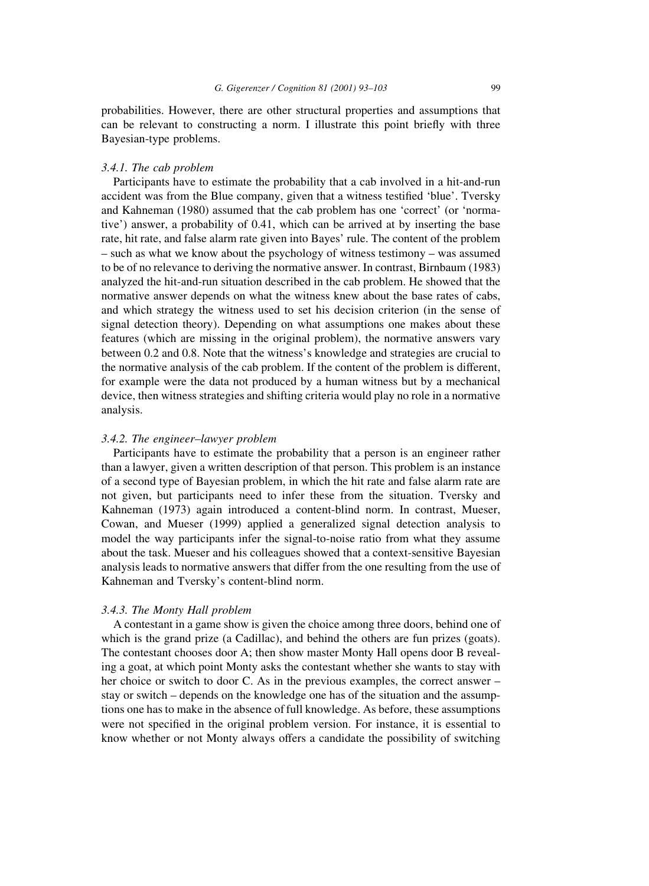probabilities. However, there are other structural properties and assumptions that can be relevant to constructing a norm. I illustrate this point briefly with three Bayesian-type problems.

#### 3.4.1. The cab problem

Participants have to estimate the probability that a cab involved in a hit-and-run accident was from the Blue company, given that a witness testified 'blue'. Tversky and Kahneman (1980) assumed that the cab problem has one `correct' (or `normative') answer, a probability of 0.41, which can be arrived at by inserting the base rate, hit rate, and false alarm rate given into Bayes' rule. The content of the problem  $-$  such as what we know about the psychology of witness testimony  $-$  was assumed to be of no relevance to deriving the normative answer. In contrast, Birnbaum (1983) analyzed the hit-and-run situation described in the cab problem. He showed that the normative answer depends on what the witness knew about the base rates of cabs, and which strategy the witness used to set his decision criterion (in the sense of signal detection theory). Depending on what assumptions one makes about these features (which are missing in the original problem), the normative answers vary between 0.2 and 0.8. Note that the witness's knowledge and strategies are crucial to the normative analysis of the cab problem. If the content of the problem is different, for example were the data not produced by a human witness but by a mechanical device, then witness strategies and shifting criteria would play no role in a normative analysis.

## 3.4.2. The engineer-lawyer problem

Participants have to estimate the probability that a person is an engineer rather than a lawyer, given a written description of that person. This problem is an instance of a second type of Bayesian problem, in which the hit rate and false alarm rate are not given, but participants need to infer these from the situation. Tversky and Kahneman (1973) again introduced a content-blind norm. In contrast, Mueser, Cowan, and Mueser (1999) applied a generalized signal detection analysis to model the way participants infer the signal-to-noise ratio from what they assume about the task. Mueser and his colleagues showed that a context-sensitive Bayesian analysis leads to normative answers that differ from the one resulting from the use of Kahneman and Tversky's content-blind norm.

## 3.4.3. The Monty Hall problem

A contestant in a game show is given the choice among three doors, behind one of which is the grand prize (a Cadillac), and behind the others are fun prizes (goats). The contestant chooses door A; then show master Monty Hall opens door B revealing a goat, at which point Monty asks the contestant whether she wants to stay with her choice or switch to door C. As in the previous examples, the correct answer  $$ stay or switch – depends on the knowledge one has of the situation and the assumptions one has to make in the absence of full knowledge. As before, these assumptions were not specified in the original problem version. For instance, it is essential to know whether or not Monty always offers a candidate the possibility of switching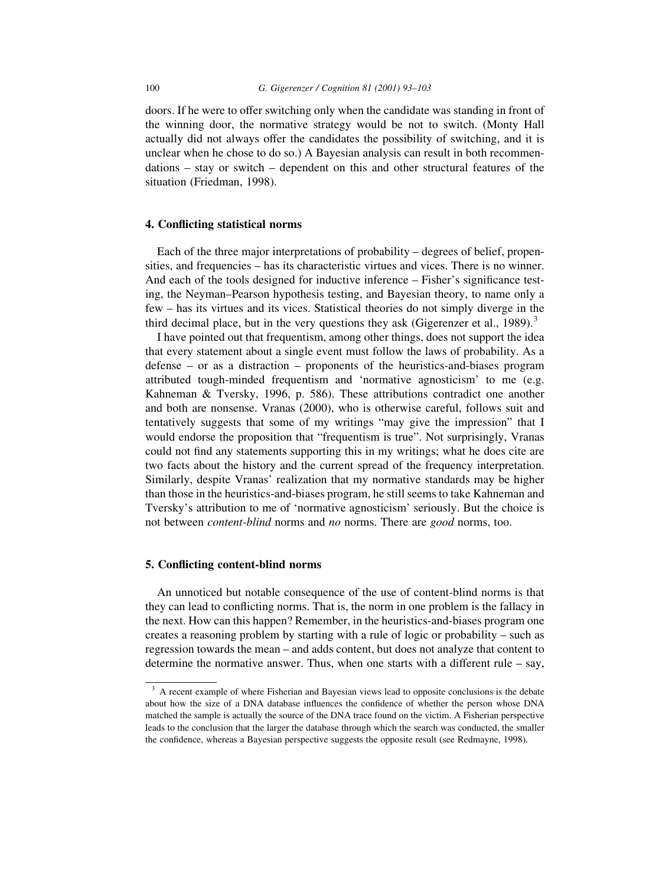doors. If he were to offer switching only when the candidate was standing in front of the winning door, the normative strategy would be not to switch. (Monty Hall actually did not always offer the candidates the possibility of switching, and it is unclear when he chose to do so.) A Bayesian analysis can result in both recommen $dations - stay$  or switch  $-\text{dependent on this and other structural features of the}$ situation (Friedman, 1998).

#### 4. Conflicting statistical norms

Each of the three major interpretations of probability - degrees of belief, propensities, and frequencies – has its characteristic virtues and vices. There is no winner. And each of the tools designed for inductive inference  $-\overline{}$  Fisher's significance testing, the Neyman–Pearson hypothesis testing, and Bayesian theory, to name only a few ± has its virtues and its vices. Statistical theories do not simply diverge in the third decimal place, but in the very questions they ask (Gigerenzer et al., 1989).<sup>3</sup>

I have pointed out that frequentism, among other things, does not support the idea that every statement about a single event must follow the laws of probability. As a defense  $-$  or as a distraction  $-$  proponents of the heuristics-and-biases program attributed tough-minded frequentism and `normative agnosticism' to me (e.g. Kahneman & Tversky, 1996, p. 586). These attributions contradict one another and both are nonsense. Vranas (2000), who is otherwise careful, follows suit and tentatively suggests that some of my writings ªmay give the impressionº that I would endorse the proposition that "frequentism is true". Not surprisingly, Vranas could not find any statements supporting this in my writings; what he does cite are two facts about the history and the current spread of the frequency interpretation. Similarly, despite Vranas' realization that my normative standards may be higher than those in the heuristics-and-biases program, he still seems to take Kahneman and Tversky's attribution to me of `normative agnosticism' seriously. But the choice is not between content-blind norms and no norms. There are good norms, too.

## 5. Conflicting content-blind norms

An unnoticed but notable consequence of the use of content-blind norms is that they can lead to conflicting norms. That is, the norm in one problem is the fallacy in the next. How can this happen? Remember, in the heuristics-and-biases program one creates a reasoning problem by starting with a rule of logic or probability  $-$  such as regression towards the mean – and adds content, but does not analyze that content to determine the normative answer. Thus, when one starts with a different rule  $-$  say,

<sup>&</sup>lt;sup>3</sup> A recent example of where Fisherian and Bayesian views lead to opposite conclusions is the debate about how the size of a DNA database influences the confidence of whether the person whose DNA matched the sample is actually the source of the DNA trace found on the victim. A Fisherian perspective leads to the conclusion that the larger the database through which the search was conducted, the smaller the confidence, whereas a Bayesian perspective suggests the opposite result (see Redmayne, 1998).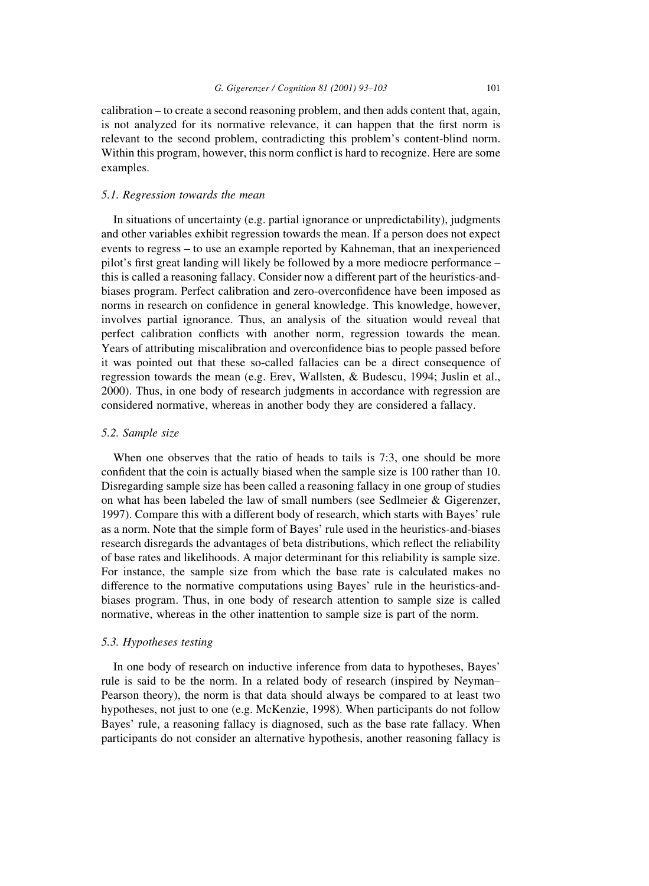$calation - to create a second reasoning problem, and then adds content that, again,$ is not analyzed for its normative relevance, it can happen that the first norm is relevant to the second problem, contradicting this problem's content-blind norm. Within this program, however, this norm conflict is hard to recognize. Here are some examples.

#### 5.1. Regression towards the mean

In situations of uncertainty (e.g. partial ignorance or unpredictability), judgments and other variables exhibit regression towards the mean. If a person does not expect events to regress – to use an example reported by Kahneman, that an inexperienced pilot's first great landing will likely be followed by a more mediocre performance – this is called a reasoning fallacy. Consider now a different part of the heuristics-andbiases program. Perfect calibration and zero-overconfidence have been imposed as norms in research on confidence in general knowledge. This knowledge, however, involves partial ignorance. Thus, an analysis of the situation would reveal that perfect calibration conflicts with another norm, regression towards the mean. Years of attributing miscalibration and overconfidence bias to people passed before it was pointed out that these so-called fallacies can be a direct consequence of regression towards the mean (e.g. Erev, Wallsten, & Budescu, 1994; Juslin et al., 2000). Thus, in one body of research judgments in accordance with regression are considered normative, whereas in another body they are considered a fallacy.

## 5.2. Sample size

When one observes that the ratio of heads to tails is 7:3, one should be more confident that the coin is actually biased when the sample size is 100 rather than 10. Disregarding sample size has been called a reasoning fallacy in one group of studies on what has been labeled the law of small numbers (see Sedlmeier  $\&$  Gigerenzer, 1997). Compare this with a different body of research, which starts with Bayes' rule as a norm. Note that the simple form of Bayes' rule used in the heuristics-and-biases research disregards the advantages of beta distributions, which reflect the reliability of base rates and likelihoods. A major determinant for this reliability is sample size. For instance, the sample size from which the base rate is calculated makes no difference to the normative computations using Bayes' rule in the heuristics-andbiases program. Thus, in one body of research attention to sample size is called normative, whereas in the other inattention to sample size is part of the norm.

## 5.3. Hypotheses testing

In one body of research on inductive inference from data to hypotheses, Bayes' rule is said to be the norm. In a related body of research (inspired by Neyman-Pearson theory), the norm is that data should always be compared to at least two hypotheses, not just to one (e.g. McKenzie, 1998). When participants do not follow Bayes' rule, a reasoning fallacy is diagnosed, such as the base rate fallacy. When participants do not consider an alternative hypothesis, another reasoning fallacy is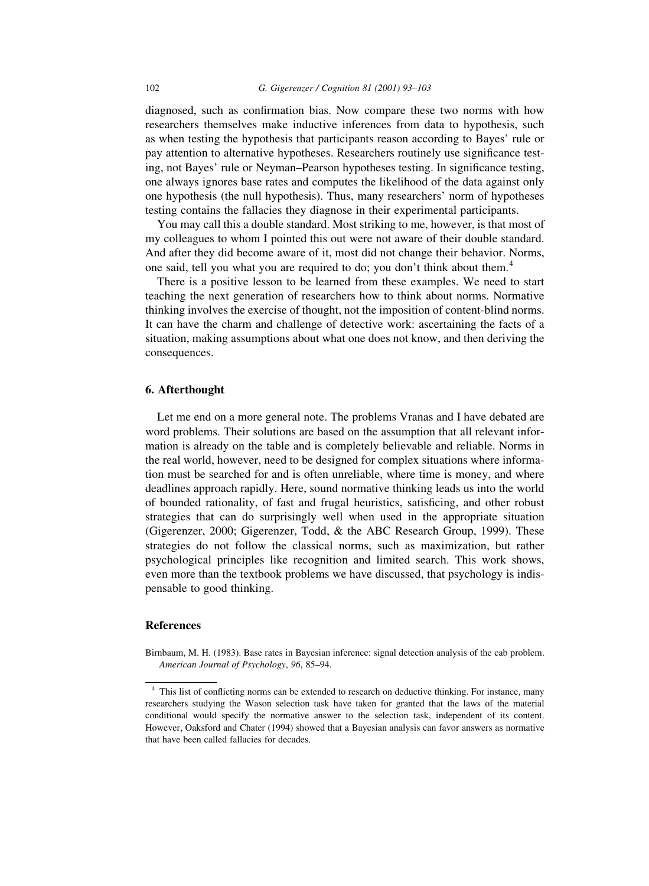diagnosed, such as confirmation bias. Now compare these two norms with how researchers themselves make inductive inferences from data to hypothesis, such as when testing the hypothesis that participants reason according to Bayes' rule or pay attention to alternative hypotheses. Researchers routinely use significance testing, not Bayes' rule or Neyman-Pearson hypotheses testing. In significance testing, one always ignores base rates and computes the likelihood of the data against only one hypothesis (the null hypothesis). Thus, many researchers' norm of hypotheses testing contains the fallacies they diagnose in their experimental participants.

You may call this a double standard. Most striking to me, however, is that most of my colleagues to whom I pointed this out were not aware of their double standard. And after they did become aware of it, most did not change their behavior. Norms, one said, tell you what you are required to do; you don't think about them.<sup>4</sup>

There is a positive lesson to be learned from these examples. We need to start teaching the next generation of researchers how to think about norms. Normative thinking involves the exercise of thought, not the imposition of content-blind norms. It can have the charm and challenge of detective work: ascertaining the facts of a situation, making assumptions about what one does not know, and then deriving the consequences.

#### 6. Afterthought

Let me end on a more general note. The problems Vranas and I have debated are word problems. Their solutions are based on the assumption that all relevant information is already on the table and is completely believable and reliable. Norms in the real world, however, need to be designed for complex situations where information must be searched for and is often unreliable, where time is money, and where deadlines approach rapidly. Here, sound normative thinking leads us into the world of bounded rationality, of fast and frugal heuristics, satisficing, and other robust strategies that can do surprisingly well when used in the appropriate situation (Gigerenzer, 2000; Gigerenzer, Todd, & the ABC Research Group, 1999). These strategies do not follow the classical norms, such as maximization, but rather psychological principles like recognition and limited search. This work shows, even more than the textbook problems we have discussed, that psychology is indispensable to good thinking.

#### References

Birnbaum, M. H. (1983). Base rates in Bayesian inference: signal detection analysis of the cab problem. American Journal of Psychology, 96, 85-94.

 $4$  This list of conflicting norms can be extended to research on deductive thinking. For instance, many researchers studying the Wason selection task have taken for granted that the laws of the material conditional would specify the normative answer to the selection task, independent of its content. However, Oaksford and Chater (1994) showed that a Bayesian analysis can favor answers as normative that have been called fallacies for decades.